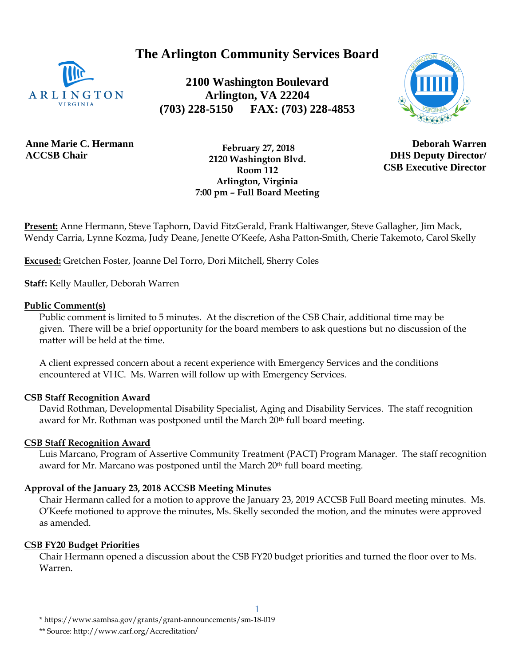**The Arlington Community Services Board**



**2100 Washington Boulevard Arlington, VA 22204 (703) 228-5150 FAX: (703) 228-4853**



**Anne Marie C. Hermann ACCSB Chair**

 **February 27, 2018 2120 Washington Blvd. Room 112 Arlington, Virginia 7:00 pm – Full Board Meeting**

**Deborah Warren DHS Deputy Director/ CSB Executive Director**

**Present:** Anne Hermann, Steve Taphorn, David FitzGerald, Frank Haltiwanger, Steve Gallagher, Jim Mack, Wendy Carria, Lynne Kozma, Judy Deane, Jenette O'Keefe, Asha Patton-Smith, Cherie Takemoto, Carol Skelly

**Excused:** Gretchen Foster, Joanne Del Torro, Dori Mitchell, Sherry Coles

**Staff:** Kelly Mauller, Deborah Warren

### **Public Comment(s)**

Public comment is limited to 5 minutes. At the discretion of the CSB Chair, additional time may be given. There will be a brief opportunity for the board members to ask questions [but](http://but.no/) no discussion of the matter will be held at the time.

A client expressed concern about a recent experience with Emergency Services and the conditions encountered at VHC. Ms. Warren will follow up with Emergency Services.

## **CSB Staff Recognition Award**

David Rothman, Developmental Disability Specialist, Aging and Disability Services. The staff recognition award for Mr. Rothman was postponed until the March 20<sup>th</sup> full board meeting.

## **CSB Staff Recognition Award**

Luis Marcano, Program of Assertive Community Treatment (PACT) Program Manager. The staff recognition award for Mr. Marcano was postponed until the March 20<sup>th</sup> full board meeting.

## **Approval of the January 23, 2018 ACCSB Meeting Minutes**

Chair Hermann called for a motion to approve the January 23, 2019 ACCSB Full Board meeting minutes. Ms. O'Keefe motioned to approve the minutes, Ms. Skelly seconded the motion, and the minutes were approved as amended.

#### **CSB FY20 Budget Priorities**

Chair Hermann opened a discussion about the CSB FY20 budget priorities and turned the floor over to Ms. Warren.

1

\*\* Source: http://www.carf.org/Accreditation/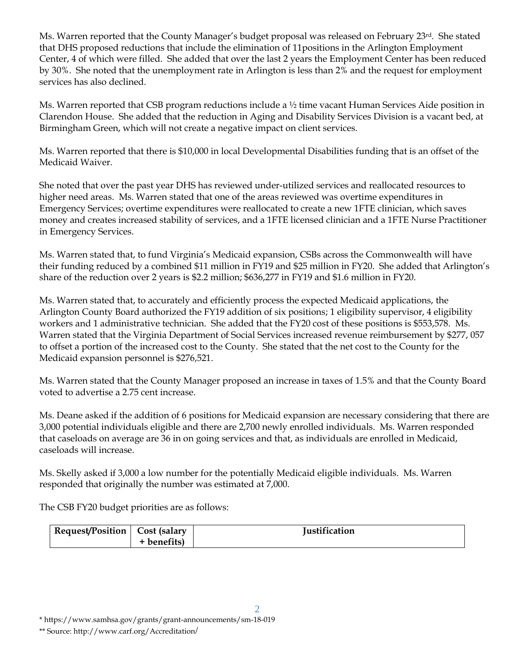Ms. Warren reported that the County Manager's budget proposal was released on February 23<sup>rd</sup>. She stated that DHS proposed reductions that include the elimination of 11positions in the Arlington Employment Center, 4 of which were filled. She added that over the last 2 years the Employment Center has been reduced by 30%. She noted that the unemployment rate in Arlington is less than 2% and the request for employment services has also declined.

Ms. Warren reported that CSB program reductions include a  $\frac{1}{2}$  time vacant Human Services Aide position in Clarendon House. She added that the reduction in Aging and Disability Services Division is a vacant bed, at Birmingham Green, which will not create a negative impact on client services.

Ms. Warren reported that there is \$10,000 in local Developmental Disabilities funding that is an offset of the Medicaid Waiver.

She noted that over the past year DHS has reviewed under-utilized services and reallocated resources to higher need areas. Ms. Warren stated that one of the areas reviewed was overtime expenditures in Emergency Services; overtime expenditures were reallocated to create a new 1FTE clinician, which saves money and creates increased stability of services, and a 1FTE licensed clinician and a 1FTE Nurse Practitioner in Emergency Services.

Ms. Warren stated that, to fund Virginia's Medicaid expansion, CSBs across the Commonwealth will have their funding reduced by a combined \$11 million in FY19 and \$25 million in FY20. She added that Arlington's share of the reduction over 2 years is \$2.2 million; \$636,277 in FY19 and \$1.6 million in FY20.

Ms. Warren stated that, to accurately and efficiently process the expected Medicaid applications, the Arlington County Board authorized the FY19 addition of six positions; 1 eligibility supervisor, 4 eligibility workers and 1 administrative technician. She added that the FY20 cost of these positions is \$553,578. Ms. Warren stated that the Virginia Department of Social Services increased revenue reimbursement by \$277, 057 to offset a portion of the increased cost to the County. She stated that the net cost to the County for the Medicaid expansion personnel is \$276,521.

Ms. Warren stated that the County Manager proposed an increase in taxes of 1.5% and that the County Board voted to advertise a 2.75 cent increase.

Ms. Deane asked if the addition of 6 positions for Medicaid expansion are necessary considering that there are 3,000 potential individuals eligible and there are 2,700 newly enrolled individuals. Ms. Warren responded that caseloads on average are 36 in on going services and that, as individuals are enrolled in Medicaid, caseloads will increase.

Ms. Skelly asked if 3,000 a low number for the potentially Medicaid eligible individuals. Ms. Warren responded that originally the number was estimated at 7,000.

The CSB FY20 budget priorities are as follows:

| Request/Position   Cost (salary |           | Iustification |
|---------------------------------|-----------|---------------|
|                                 | benefits) |               |

\* https://www.samhsa.gov/grants/grant-announcements/sm-18-019

\*\* Source: http://www.carf.org/Accreditation/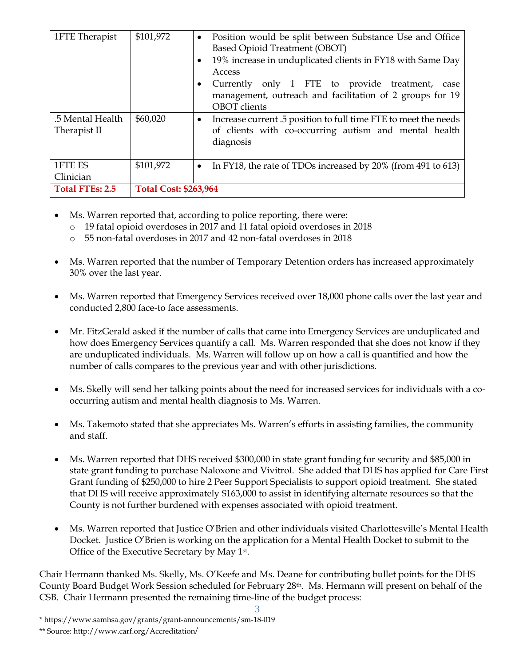| 1FTE Therapist                   | \$101,972                    | Position would be split between Substance Use and Office<br>$\bullet$<br><b>Based Opioid Treatment (OBOT)</b><br>19% increase in unduplicated clients in FY18 with Same Day<br>Access<br>Currently only 1 FTE to provide treatment, case<br>management, outreach and facilitation of 2 groups for 19<br><b>OBOT</b> clients |
|----------------------------------|------------------------------|-----------------------------------------------------------------------------------------------------------------------------------------------------------------------------------------------------------------------------------------------------------------------------------------------------------------------------|
| .5 Mental Health<br>Therapist II | \$60,020                     | Increase current .5 position to full time FTE to meet the needs<br>$\bullet$<br>of clients with co-occurring autism and mental health<br>diagnosis                                                                                                                                                                          |
| 1FTE ES<br>Clinician             | \$101,972                    | In FY18, the rate of TDOs increased by 20% (from 491 to 613)<br>$\bullet$                                                                                                                                                                                                                                                   |
| <b>Total FTEs: 2.5</b>           | <b>Total Cost: \$263,964</b> |                                                                                                                                                                                                                                                                                                                             |

- Ms. Warren reported that, according to police reporting, there were:
	- o 19 fatal opioid overdoses in 2017 and 11 fatal opioid overdoses in 2018
	- o 55 non-fatal overdoses in 2017 and 42 non-fatal overdoses in 2018
- Ms. Warren reported that the number of Temporary Detention orders has increased approximately 30% over the last year.
- Ms. Warren reported that Emergency Services received over 18,000 phone calls over the last year and conducted 2,800 face-to face assessments.
- Mr. FitzGerald asked if the number of calls that came into Emergency Services are unduplicated and how does Emergency Services quantify a call. Ms. Warren responded that she does not know if they are unduplicated individuals. Ms. Warren will follow up on how a call is quantified and how the number of calls compares to the previous year and with other jurisdictions.
- Ms. Skelly will send her talking points about the need for increased services for individuals with a cooccurring autism and mental health diagnosis to Ms. Warren.
- Ms. Takemoto stated that she appreciates Ms. Warren's efforts in assisting families, the community and staff.
- Ms. Warren reported that DHS received \$300,000 in state grant funding for security and \$85,000 in state grant funding to purchase Naloxone and Vivitrol. She added that DHS has applied for Care First Grant funding of \$250,000 to hire 2 Peer Support Specialists to support opioid treatment. She stated that DHS will receive approximately \$163,000 to assist in identifying alternate resources so that the County is not further burdened with expenses associated with opioid treatment.
- Ms. Warren reported that Justice O'Brien and other individuals visited Charlottesville's Mental Health Docket. Justice O'Brien is working on the application for a Mental Health Docket to submit to the Office of the Executive Secretary by May 1<sup>st</sup>.

Chair Hermann thanked Ms. Skelly, Ms. O'Keefe and Ms. Deane for contributing bullet points for the DHS County Board Budget Work Session scheduled for February 28th. Ms. Hermann will present on behalf of the CSB. Chair Hermann presented the remaining time-line of the budget process:

<sup>3</sup> \* https://www.samhsa.gov/grants/grant-announcements/sm-18-019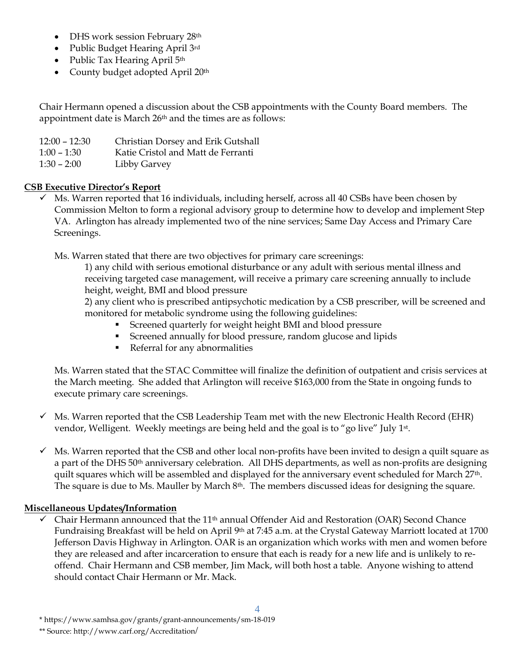- DHS work session February 28th
- Public Budget Hearing April 3rd
- Public Tax Hearing April 5<sup>th</sup>
- County budget adopted April 20<sup>th</sup>

Chair Hermann opened a discussion about the CSB appointments with the County Board members. The appointment date is March 26<sup>th</sup> and the times are as follows:

| $12:00 - 12:30$ | Christian Dorsey and Erik Gutshall |
|-----------------|------------------------------------|
| $1:00 - 1:30$   | Katie Cristol and Matt de Ferranti |
| $1:30 - 2:00$   | Libby Garvey                       |

# **CSB Executive Director's Report**

 $\checkmark$  Ms. Warren reported that 16 individuals, including herself, across all 40 CSBs have been chosen by Commission Melton to form a regional advisory group to determine how to develop and implement Step VA. Arlington has already implemented two of the nine services; Same Day Access and Primary Care Screenings.

Ms. Warren stated that there are two objectives for primary care screenings:

1) any child with serious emotional disturbance or any adult with serious mental illness and receiving targeted case management, will receive a primary care screening annually to include height, weight, BMI and blood pressure

2) any client who is prescribed antipsychotic medication by a CSB prescriber, will be screened and monitored for metabolic syndrome using the following guidelines:

- Screened quarterly for weight height BMI and blood pressure
- Screened annually for blood pressure, random glucose and lipids
- **•** Referral for any abnormalities

Ms. Warren stated that the STAC Committee will finalize the definition of outpatient and crisis services at the March meeting. She added that Arlington will receive \$163,000 from the State in ongoing funds to execute primary care screenings.

- $\checkmark$  Ms. Warren reported that the CSB Leadership Team met with the new Electronic Health Record (EHR) vendor, Welligent. Weekly meetings are being held and the goal is to "go live" July 1st .
- $\checkmark$  Ms. Warren reported that the CSB and other local non-profits have been invited to design a quilt square as a part of the DHS 50<sup>th</sup> anniversary celebration. All DHS departments, as well as non-profits are designing quilt squares which will be assembled and displayed for the anniversary event scheduled for March 27<sup>th</sup>. The square is due to Ms. Mauller by March 8<sup>th</sup>. The members discussed ideas for designing the square.

## **Miscellaneous Updates/Information**

 $\checkmark$  Chair Hermann announced that the 11<sup>th</sup> annual Offender Aid and Restoration (OAR) Second Chance Fundraising Breakfast will be held on April 9<sup>th</sup> at 7:45 a.m. at the Crystal Gateway Marriott located at 1700 Jefferson Davis Highway in Arlington. OAR is an organization which works with men and women before they are released and after incarceration to ensure that each is ready for a new life and is unlikely to reoffend. Chair Hermann and CSB member, Jim Mack, will both host a table. Anyone wishing to attend should contact Chair Hermann or Mr. Mack.

<sup>\*</sup> https://www.samhsa.gov/grants/grant-announcements/sm-18-019

<sup>\*\*</sup> Source: http://www.carf.org/Accreditation/